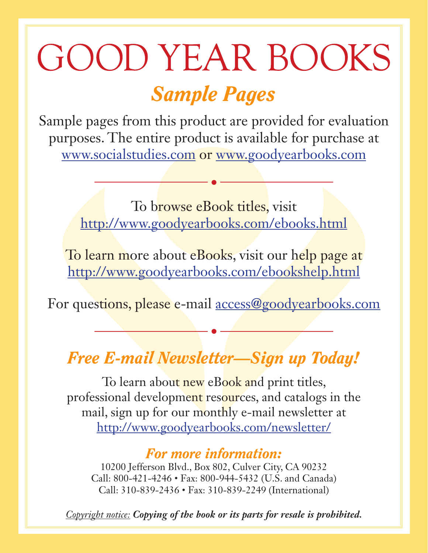# GOOD YEAR BOOKS *Sample Pages*

Sample pages from this product are provided for evaluation purposes. The entire product is available for purchase at [www.socialstudies.com](http://www.socialstudies.com/) or [www.goodyearbooks.com](http://www.goodyearbooks.com/)

> To browse eBook titles, visit <http://www.goodyearbooks.com/ebooks.html>

 $\bullet$ 

To learn more about eBooks, visit our help page at <http://www.goodyearbooks.com/ebookshelp.html>

For questions, please e-mail [access@goodyearbooks.com](mailto:access@goodyearbooks.com)

# *Free E-mail Newsletter—Sign up Today!*

 $\bullet$ 

To learn about new eBook and print titles, professional development resources, and catalogs in the mail, sign up for our monthly e-mail newsletter at <http://www.goodyearbooks.com/newsletter/>

## *For more information:*

10200 Jefferson Blvd., Box 802, Culver City, CA 90232 Call: 800-421-4246 • Fax: 800-944-5432 (U.S. and Canada) Call: 310-839-2436 • Fax: 310-839-2249 (International)

*Copyright notice: Copying of the book or its parts for resale is prohibited.*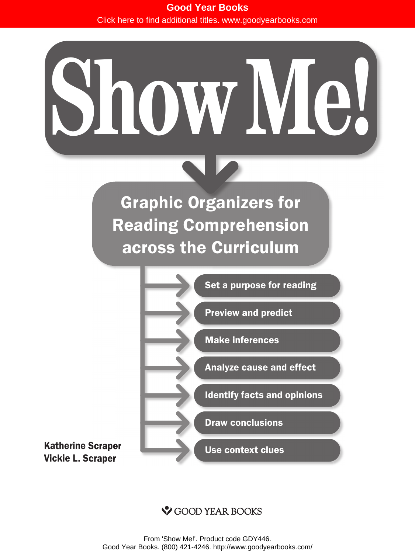### **Good Year Books** Click here to find additional titles. www.goodyearbooks.com

# **Show Me!**

Graphic Organizers for Reading Comprehension across the Curriculum



Katherine Scraper Vickie L. Scraper

### Y GOOD YEAR BOOKS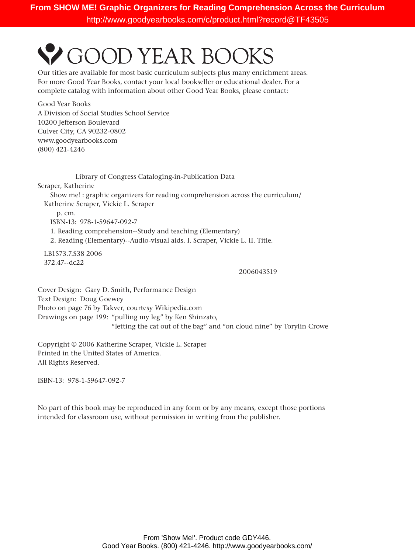### **From SHOW ME! Graphic Organizers for Reading Comprehension Across the Curriculum** http://www.goodyearbooks.com/c/product.html?record@TF43505



Our titles are available for most basic curriculum subjects plus many enrichment areas. For more Good Year Books, contact your local bookseller or educational dealer. For a complete catalog with information about other Good Year Books, please contact:

Good Year Books A Division of Social Studies School Service 10200 Jefferson Boulevard Culver City, CA 90232-0802 www.goodyearbooks.com (800) 421-4246

Library of Congress Cataloging-in-Publication Data Scraper, Katherine Show me! : graphic organizers for reading comprehension across the curriculum/ Katherine Scraper, Vickie L. Scraper p. cm.

ISBN-13: 978-1-59647-092-7

1. Reading comprehension--Study and teaching (Elementary)

2. Reading (Elementary)--Audio-visual aids. I. Scraper, Vickie L. II. Title.

LB1573.7.S38 2006 372.47--dc22

2006043519

Cover Design: Gary D. Smith, Performance Design Text Design: Doug Goewey Photo on page 76 by Takver, courtesy Wikipedia.com Drawings on page 199: "pulling my leg" by Ken Shinzato, "letting the cat out of the bag" and "on cloud nine" by Torylin Crowe

Copyright © 2006 Katherine Scraper, Vickie L. Scraper Printed in the United States of America. All Rights Reserved.

ISBN-13: 978-1-59647-092-7

No part of this book may be reproduced in any form or by any means, except those portions intended for classroom use, without permission in writing from the publisher.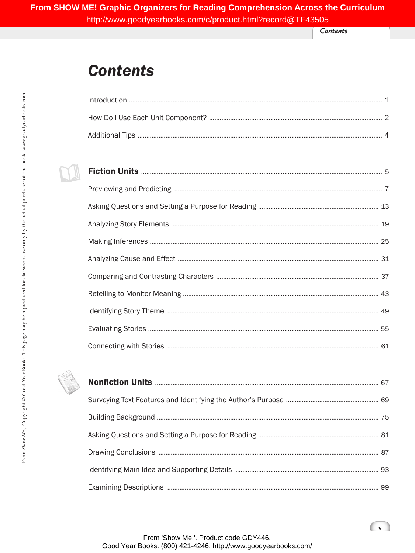**Contents** 

# **Contents**



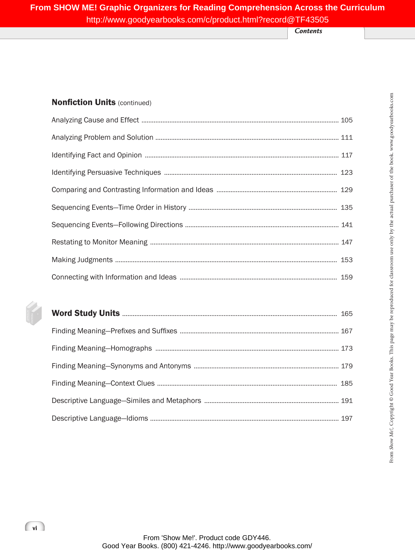Contents

### **Nonfiction Units (continued)**

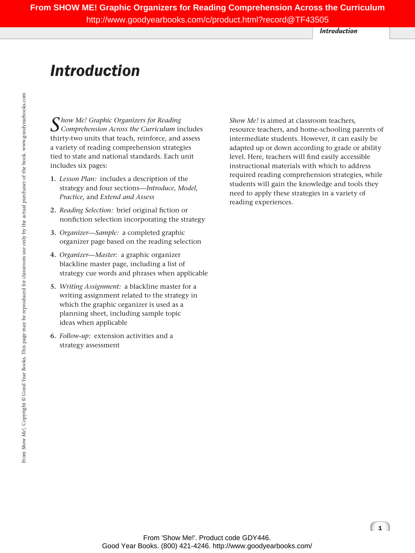*Preface Introduction*

# *Introduction*

*S how Me! Graphic Organizers for Reading Comprehension Across the Curriculum* includes thirty-two units that teach, reinforce, and assess a variety of reading comprehension strategies tied to state and national standards. Each unit includes six pages:

- **1.** *Lesson Plan:* includes a description of the strategy and four sections—*Introduce, Model, Practice,* and *Extend and Assess*
- **2.** *Reading Selection:* brief original fiction or nonfiction selection incorporating the strategy
- **3.** *Organizer—Sample:* a completed graphic organizer page based on the reading selection
- **4.** *Organizer—Master:* a graphic organizer blackline master page, including a list of strategy cue words and phrases when applicable
- **5.** *Writing Assignment:* a blackline master for a writing assignment related to the strategy in which the graphic organizer is used as a planning sheet, including sample topic ideas when applicable
- **6.** *Follow-up:* extension activities and a strategy assessment

*Show Me!* is aimed at classroom teachers, resource teachers, and home-schooling parents of intermediate students. However, it can easily be adapted up or down according to grade or ability level. Here, teachers will find easily accessible instructional materials with which to address required reading comprehension strategies, while students will gain the knowledge and tools they need to apply these strategies in a variety of reading experiences.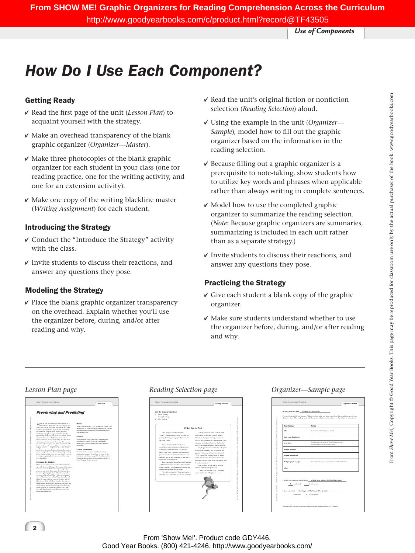Use of Components

# *How Do I Use Each Component?*

### Getting Ready

- ✔ Read the first page of the unit (*Lesson Plan*) to acquaint yourself with the strategy.
- $\checkmark$  Make an overhead transparency of the blank graphic organizer (*Organizer—Master*).
- $\vee$  Make three photocopies of the blank graphic organizer for each student in your class (one for reading practice, one for the writing activity, and one for an extension activity).
- $\checkmark$  Make one copy of the writing blackline master (*Writing Assignment*) for each student.

### Introducing the Strategy

- $\checkmark$  Conduct the "Introduce the Strategy" activity with the class.
- $\checkmark$  Invite students to discuss their reactions, and answer any questions they pose.

### Modeling the Strategy

✔ Place the blank graphic organizer transparency on the overhead. Explain whether you'll use the organizer before, during, and/or after reading and why.

- ✔ Read the unit's original fiction or nonfiction selection (*Reading Selection*) aloud.
- ✔ Using the example in the unit (*Organizer— Sample*), model how to fill out the graphic organizer based on the information in the reading selection.
- $\vee$  Because filling out a graphic organizer is a prerequisite to note-taking, show students how to utilize key words and phrases when applicable rather than always writing in complete sentences.
- ✔ Model how to use the completed graphic organizer to summarize the reading selection. (*Note*: Because graphic organizers are summaries, summarizing is included in each unit rather than as a separate strategy.)
- $\checkmark$  Invite students to discuss their reactions, and answer any questions they pose.

### Practicing the Strategy

- $\checkmark$  Give each student a blank copy of the graphic organizer.
- $\checkmark$  Make sure students understand whether to use the organizer before, during, and/or after reading and why.

### *Lesson Plan page*

| <b>Previewing and Predicting</b>                                                                                                                                                                                                                                                                                                                                                                                                                                                                                                                                                                                                                                                                                                                                                                                                                                                                                     |                                                                                                                                                                                                                                                                                                                                                                                                                                                                                                                                                  |
|----------------------------------------------------------------------------------------------------------------------------------------------------------------------------------------------------------------------------------------------------------------------------------------------------------------------------------------------------------------------------------------------------------------------------------------------------------------------------------------------------------------------------------------------------------------------------------------------------------------------------------------------------------------------------------------------------------------------------------------------------------------------------------------------------------------------------------------------------------------------------------------------------------------------|--------------------------------------------------------------------------------------------------------------------------------------------------------------------------------------------------------------------------------------------------------------------------------------------------------------------------------------------------------------------------------------------------------------------------------------------------------------------------------------------------------------------------------------------------|
| T ow do you select a novel at the library or a<br>I I bookstore? Likely, the title catches your eye.<br>Next, you look at the cover illustration and read<br>the book jacket blurbs. If you're still interested,<br>you skim the chapter titles. Braily, you read<br>the first passgraph or page. You're hooked! By<br>paymenting the book, you get into a certain frame<br>of mind. You know whether the book will be<br>funny, dramatic, scary, or exciting. You also start<br>making predictions about the story. The man on<br>the cover is the bad cur; you think to yourself. The<br>hereine will have to extensert him their families<br>will get involved and so on. You can't wait to<br>get home so you can begin reading and confirm or<br>revise your predictions. Previewing and predicting<br>helps readers get the most out of a story by setting<br>the stage, engaging their interest, and focusing | Model<br>Read "I'll Get You for This" on page 00 aloud. Then<br>model how to complete the accompanying graphic<br>organizer (page 00) and use it to summarize the<br>reading selection.<br>Practice<br>Have students use a copy of the blank graphic<br>organizer on nage 00 to preview and make<br>predictions about other fiction texts, assisting<br>as needed.<br><b>Fytend and Assess</b><br>Have students complete the related writing<br>assignment on page 00 and one or more of the<br>extension activities on page 00. Rnally, monitor |
| their thoughts.                                                                                                                                                                                                                                                                                                                                                                                                                                                                                                                                                                                                                                                                                                                                                                                                                                                                                                      | their acquisition of previewing and predicting by<br>using the page 00 assessment.                                                                                                                                                                                                                                                                                                                                                                                                                                                               |
| <b>Introduce the Strategy</b><br>Think of a true story from your childhood, make                                                                                                                                                                                                                                                                                                                                                                                                                                                                                                                                                                                                                                                                                                                                                                                                                                     |                                                                                                                                                                                                                                                                                                                                                                                                                                                                                                                                                  |
| up a title for it, and bring a photograph that relates.<br>to it in some way. Tell students you're going to<br>share an oral story. Then state the title and show<br>them the photograph. Ask: What do you predict<br>my stery will be about? Why? Who do you prafict<br>some of the characters will be? How do you know?<br>What do you predict the mood of the story will be?<br>Why do you think so? Allow time for discussion.<br>Then explain that looking ahead (previewing) and<br>making good guesses (predicting) helps them get<br>ready to listen to your story. Tell the story and<br>then ask the students to confirm or revise their<br>prediction statements.                                                                                                                                                                                                                                         |                                                                                                                                                                                                                                                                                                                                                                                                                                                                                                                                                  |

### *Reading Selection page*

| Use the Graphic Organizer:<br>V Sefore Reading<br>During Reading                                                                                                                                                                                                                                                                                                                                                                                                                                                                                                                                                                                                                                                                                                             |                                                                                                                                                                                                                                                                                                                                                                                                                                                                                                                                                                                                                                                                                                                                     |
|------------------------------------------------------------------------------------------------------------------------------------------------------------------------------------------------------------------------------------------------------------------------------------------------------------------------------------------------------------------------------------------------------------------------------------------------------------------------------------------------------------------------------------------------------------------------------------------------------------------------------------------------------------------------------------------------------------------------------------------------------------------------------|-------------------------------------------------------------------------------------------------------------------------------------------------------------------------------------------------------------------------------------------------------------------------------------------------------------------------------------------------------------------------------------------------------------------------------------------------------------------------------------------------------------------------------------------------------------------------------------------------------------------------------------------------------------------------------------------------------------------------------------|
| After Reading<br>I'll Get You for This!<br>This story reveals the sometimes<br>"recky" relationship between a boy and his<br>younger brother growing up to Tennessee to<br>the early 1900s.<br>"Give that back!" Levi hollered.<br>scrambling barefoot between the rows of<br>com after his brother Torn. "That's my<br>lucky rock!" Levi captured Tom's shirttail<br>tust in time to see the treasured stone soar<br>through the air and plummet to the bull's-<br>eye of the bramble patch.<br>Levi pummeled Tom's back with his fats<br>as Marria severated out of the cabin. "What's<br>going on here?" she demanded, pulling the<br>boys apart by their overall straps.<br>"Levi let my toad go," Tom said matter-<br>of-factly, "so I threw his rock in the stickers." | "I'd say you both need to think with<br>your hands for awhile," replied Mama.<br>"Pop is probably on his way, so you can<br>tend to the weeds while I start supper." Levi<br>dropped to his knees between the bushy-<br>snap bean plants, and Tom setzed the hoe.<br>"Hi, Pop," shouted Levi to the tall figure<br>striding up the nath. "We're weeding the<br>earden." Glancing at Tom. Levi grinned.<br>"After support I'm roing to read to Marna<br>while Tom washes the dishes, clears our<br>sleep loft, carries water from the spring, and<br>feeds the chickens."<br>Tom scowled as Pop ruffled his hair.<br>"That's my boys!" Fop declared.<br>"I'll get you for this, Levi!" Tom said<br>under his breath. "I'll get you " |

### *Organizer—Sample page*

| Reading Selection Title       Get You for This! |                                                                                                                                                                                                                        |
|-------------------------------------------------|------------------------------------------------------------------------------------------------------------------------------------------------------------------------------------------------------------------------|
|                                                 | Preview the available text features. Add notes about what you learn from them. Then make two predictions<br>about the story. After reading, mark whether your predictions are confirmed or if you have to zerise them. |
| <b>Text Feature</b>                             | <b>Notes</b>                                                                                                                                                                                                           |
| sista.                                          | Someone in the story is upset.                                                                                                                                                                                         |
| front cover illustration                        |                                                                                                                                                                                                                        |
| atory blurb                                     | The boys are brothers. They lived long ago.<br>Sometimes they don't get along.                                                                                                                                         |
| chapter headings                                |                                                                                                                                                                                                                        |
| chapter illustrations                           |                                                                                                                                                                                                                        |
| first paragraph or page                         | Tom throws Levis favorite rock into the stickers.                                                                                                                                                                      |
| other                                           |                                                                                                                                                                                                                        |
|                                                 |                                                                                                                                                                                                                        |
|                                                 | I predict that this story will be about a boy who makes his brother mad.                                                                                                                                               |
| X confirmed had to revise                       |                                                                                                                                                                                                                        |
|                                                 | I also predict that the boys will talk over the problem.                                                                                                                                                               |
|                                                 | confirmed X had to revise                                                                                                                                                                                              |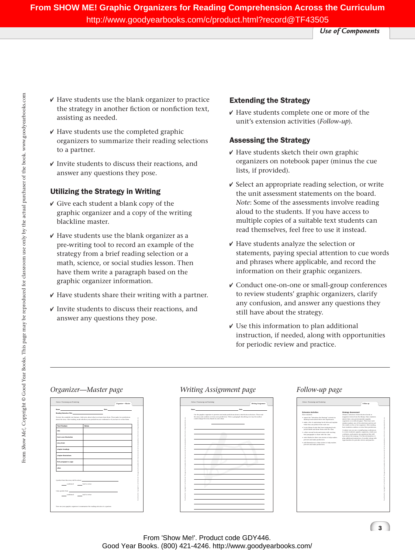Use of Components

- $\checkmark$  Have students use the blank organizer to practice the strategy in another fiction or nonfiction text, assisting as needed.
- $\checkmark$  Have students use the completed graphic organizers to summarize their reading selections to a partner.
- $\checkmark$  Invite students to discuss their reactions, and answer any questions they pose.

### Utilizing the Strategy in Writing

- $\checkmark$  Give each student a blank copy of the graphic organizer and a copy of the writing blackline master.
- $\vee$  Have students use the blank organizer as a pre-writing tool to record an example of the strategy from a brief reading selection or a math, science, or social studies lesson. Then have them write a paragraph based on the graphic organizer information.
- $\checkmark$  Have students share their writing with a partner.
- $\checkmark$  Invite students to discuss their reactions, and answer any questions they pose.

### Extending the Strategy

✔ Have students complete one or more of the unit's extension activities (*Follow-up*).

### Assessing the Strategy

- $\checkmark$  Have students sketch their own graphic organizers on notebook paper (minus the cue lists, if provided).
- ✔ Select an appropriate reading selection, or write the unit assessment statements on the board. *Note*: Some of the assessments involve reading aloud to the students. If you have access to multiple copies of a suitable text students can read themselves, feel free to use it instead.
- ✔ Have students analyze the selection or statements, paying special attention to cue words and phrases where applicable, and record the information on their graphic organizers.
- ✔ Conduct one-on-one or small-group conferences to review students' graphic organizers, clarify any confusion, and answer any questions they still have about the strategy.
- $\checkmark$  Use this information to plan additional instruction, if needed, along with opportunities for periodic review and practice.

### *Organizer—Master page*

|                                                                                                                                                                                                                                      | Name Date and the Contract of the Contract of the Contract of the Contract of the Contract of the Contract of the Contract of the Contract of the Contract of the Contract of the Contract of the Contract of the Contract of |
|--------------------------------------------------------------------------------------------------------------------------------------------------------------------------------------------------------------------------------------|-------------------------------------------------------------------------------------------------------------------------------------------------------------------------------------------------------------------------------|
|                                                                                                                                                                                                                                      | Reading Selection Title                                                                                                                                                                                                       |
|                                                                                                                                                                                                                                      | Preview the available text features. Add notes about what you learn from them. Then make two predictions<br>about the story. After reading, mark whether your predictions are confirmed or if you have to revise them.        |
| <b>Text Feature</b>                                                                                                                                                                                                                  | <b>Notes</b>                                                                                                                                                                                                                  |
| essu.                                                                                                                                                                                                                                |                                                                                                                                                                                                                               |
| front cover illustration                                                                                                                                                                                                             |                                                                                                                                                                                                                               |
| atory blurb                                                                                                                                                                                                                          |                                                                                                                                                                                                                               |
| chapter headings                                                                                                                                                                                                                     |                                                                                                                                                                                                                               |
| chapter illustrations                                                                                                                                                                                                                |                                                                                                                                                                                                                               |
| first paragraph or page                                                                                                                                                                                                              |                                                                                                                                                                                                                               |
| other                                                                                                                                                                                                                                |                                                                                                                                                                                                                               |
|                                                                                                                                                                                                                                      |                                                                                                                                                                                                                               |
|                                                                                                                                                                                                                                      | I predict that this story will be about                                                                                                                                                                                       |
| confirmed had to revise                                                                                                                                                                                                              |                                                                                                                                                                                                                               |
| I also predict that <b>and the contract of the contract of the contract of the contract of the contract of the contract of the contract of the contract of the contract of the contract of the contract of the contract of the c</b> |                                                                                                                                                                                                                               |
|                                                                                                                                                                                                                                      | confirmed had to revise                                                                                                                                                                                                       |

### *Writing Assignment page*

| Use the graphic organizer to preview and make predictions about a brief fiction selection. Then read<br>the story and confirm or revise your predictions. Write a paragraph describing one way the author<br>could change the story based on your ideas. |
|----------------------------------------------------------------------------------------------------------------------------------------------------------------------------------------------------------------------------------------------------------|
|                                                                                                                                                                                                                                                          |
|                                                                                                                                                                                                                                                          |
|                                                                                                                                                                                                                                                          |
|                                                                                                                                                                                                                                                          |
|                                                                                                                                                                                                                                                          |
|                                                                                                                                                                                                                                                          |
|                                                                                                                                                                                                                                                          |
|                                                                                                                                                                                                                                                          |
|                                                                                                                                                                                                                                                          |
|                                                                                                                                                                                                                                                          |
|                                                                                                                                                                                                                                                          |
|                                                                                                                                                                                                                                                          |

### *Follow-up page*

| <b>Fiction: Previewing and Predicting</b>                                                                                                                                                                                                                                                                                                                                                                                                                                                                                                                                                                      | <b>Follow-up</b>                                                                                                                                                                                                                                                                                                                                                                                                                                                                                                                                                                                                                                                                      |
|----------------------------------------------------------------------------------------------------------------------------------------------------------------------------------------------------------------------------------------------------------------------------------------------------------------------------------------------------------------------------------------------------------------------------------------------------------------------------------------------------------------------------------------------------------------------------------------------------------------|---------------------------------------------------------------------------------------------------------------------------------------------------------------------------------------------------------------------------------------------------------------------------------------------------------------------------------------------------------------------------------------------------------------------------------------------------------------------------------------------------------------------------------------------------------------------------------------------------------------------------------------------------------------------------------------|
| <b>Fytensien Artivities</b>                                                                                                                                                                                                                                                                                                                                                                                                                                                                                                                                                                                    | <b>Strategy Assessment</b>                                                                                                                                                                                                                                                                                                                                                                                                                                                                                                                                                                                                                                                            |
| Have students:<br>· repeat the "Introduce the Strategy" activity by<br>sharing stories about their own experiences.<br>· make a list of cantivating book titles and explain<br>what they can predict from each one.<br>· locate library books that have intriguing book-<br>jacket blurbs and share them with the class.<br>· collect several books and stories with exciting<br>first paragraphs to share with the class.<br>· write blurbs for their own stories to help readers.<br>preview and make predictions.<br>· add illustrations to their stories to help readers.<br>preview and make predictions. | Obtain a selection of short fiction books or<br>magazine stories from the library. Have students<br>sketch their own preview/predict graphic<br>cegarizers on notebook naper. Then have each<br>student analyze one of the selections and record<br>the results on his or her organizer. After reading,<br>have students confirm or revise their predictions.<br>Conduct one-on-one or small-enoun conferences.<br>to review students' graphic organizers, clarify any<br>confusion, and answer any questions they still<br>have about the strategy. Use this information to<br>plan additional instruction, if needed, along with<br>opportunities for periodic review and practice. |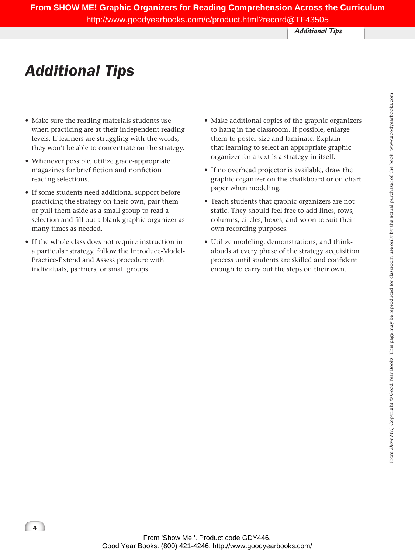*Preface Additional Tips*

# *Additional Tips*

- Make sure the reading materials students use when practicing are at their independent reading levels. If learners are struggling with the words, they won't be able to concentrate on the strategy.
- Whenever possible, utilize grade-appropriate magazines for brief fiction and nonfiction reading selections.
- If some students need additional support before practicing the strategy on their own, pair them or pull them aside as a small group to read a selection and fill out a blank graphic organizer as many times as needed.
- If the whole class does not require instruction in a particular strategy, follow the Introduce-Model-Practice-Extend and Assess procedure with individuals, partners, or small groups.
- Make additional copies of the graphic organizers to hang in the classroom. If possible, enlarge them to poster size and laminate. Explain that learning to select an appropriate graphic organizer for a text is a strategy in itself.
- If no overhead projector is available, draw the graphic organizer on the chalkboard or on chart paper when modeling.
- Teach students that graphic organizers are not static. They should feel free to add lines, rows, columns, circles, boxes, and so on to suit their own recording purposes.
- Utilize modeling, demonstrations, and thinkalouds at every phase of the strategy acquisition process until students are skilled and confident enough to carry out the steps on their own.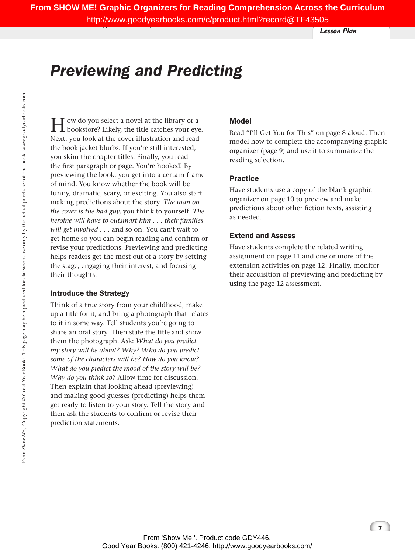*Lesson Plan*

# *Previewing and Predicting*

How do you select a novel at the library or a bookstore? Likely, the title catches your eye. Next, you look at the cover illustration and read the book jacket blurbs. If you're still interested, you skim the chapter titles. Finally, you read the first paragraph or page. You're hooked! By previewing the book, you get into a certain frame of mind. You know whether the book will be funny, dramatic, scary, or exciting. You also start making predictions about the story. *The man on the cover is the bad guy*, you think to yourself. *The heroine will have to outsmart him . . . their families will get involved . . .* and so on. You can't wait to get home so you can begin reading and confirm or revise your predictions. Previewing and predicting helps readers get the most out of a story by setting the stage, engaging their interest, and focusing their thoughts.

### Introduce the Strategy

Think of a true story from your childhood, make up a title for it, and bring a photograph that relates to it in some way. Tell students you're going to share an oral story. Then state the title and show them the photograph. Ask: *What do you predict my story will be about? Why? Who do you predict some of the characters will be? How do you know? What do you predict the mood of the story will be? Why do you think so?* Allow time for discussion. Then explain that looking ahead (previewing) and making good guesses (predicting) helps them get ready to listen to your story. Tell the story and then ask the students to confirm or revise their prediction statements.

### Model

Read "I'll Get You for This" on page 8 aloud. Then model how to complete the accompanying graphic organizer (page 9) and use it to summarize the reading selection.

### **Practice**

Have students use a copy of the blank graphic organizer on page 10 to preview and make predictions about other fiction texts, assisting as needed.

### Extend and Assess

Have students complete the related writing assignment on page 11 and one or more of the extension activities on page 12. Finally, monitor their acquisition of previewing and predicting by using the page 12 assessment.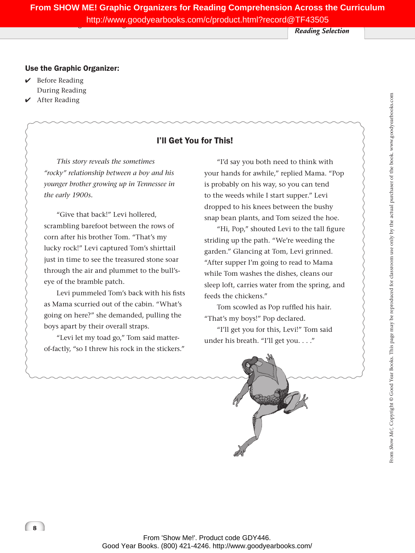*Reading Selection*

### Use the Graphic Organizer:

- $\vee$  Before Reading During Reading
- $\blacktriangleright$  After Reading

### I'll Get You for This!

*This story reveals the sometimes "rocky" relationship between a boy and his younger brother growing up in Tennessee in the early 1900s.*

"Give that back!" Levi hollered, scrambling barefoot between the rows of corn after his brother Tom. "That's my lucky rock!" Levi captured Tom's shirttail just in time to see the treasured stone soar through the air and plummet to the bull'seye of the bramble patch.

Levi pummeled Tom's back with his fists as Mama scurried out of the cabin. "What's going on here?" she demanded, pulling the boys apart by their overall straps.

"Levi let my toad go," Tom said matterof-factly, "so I threw his rock in the stickers."

"I'd say you both need to think with your hands for awhile," replied Mama. "Pop is probably on his way, so you can tend to the weeds while I start supper." Levi dropped to his knees between the bushy snap bean plants, and Tom seized the hoe.

"Hi, Pop," shouted Levi to the tall figure striding up the path. "We're weeding the garden." Glancing at Tom, Levi grinned. "After supper I'm going to read to Mama while Tom washes the dishes, cleans our sleep loft, carries water from the spring, and feeds the chickens."

Tom scowled as Pop ruffled his hair. "That's my boys!" Pop declared.

"I'll get you for this, Levi!" Tom said under his breath. "I'll get you. . . ."

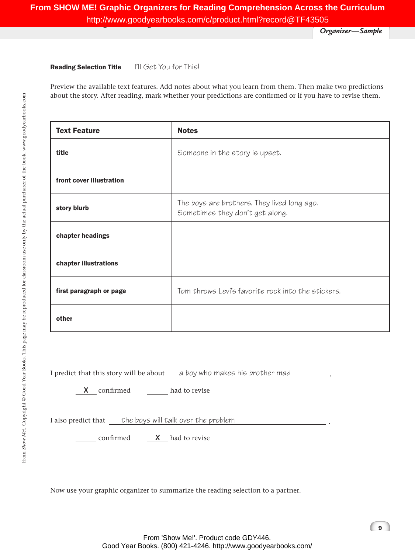### *Fiction:* Previewing and Predicting http://www.goodyearbooks.com/c/product.html?record@TF43505 **From SHOW ME! Graphic Organizers for Reading Comprehension Across the Curriculum**

*Organizer—Sample*

Reading Selection Title | |'|| Get You for This!

Preview the available text features. Add notes about what you learn from them. Then make two predictions about the story. After reading, mark whether your predictions are confirmed or if you have to revise them.

| <b>Text Feature</b>      | <b>Notes</b>                                                                   |
|--------------------------|--------------------------------------------------------------------------------|
| title                    | Someone in the story is upset.                                                 |
| front cover illustration |                                                                                |
| story blurb              | The boys are brothers. They lived long ago.<br>Sometimes they don't get along. |
| chapter headings         |                                                                                |
| chapter illustrations    |                                                                                |
| first paragraph or page  | Tom throws Levi's favorite rock into the stickers.                             |
| other                    |                                                                                |

I predict that this story will be about \_\_\_ a boy who makes his brother mad

**X** confirmed had to revise

I also predict that the boys will talk over the problem

confirmed **X** had to revise

Now use your graphic organizer to summarize the reading selection to a partner.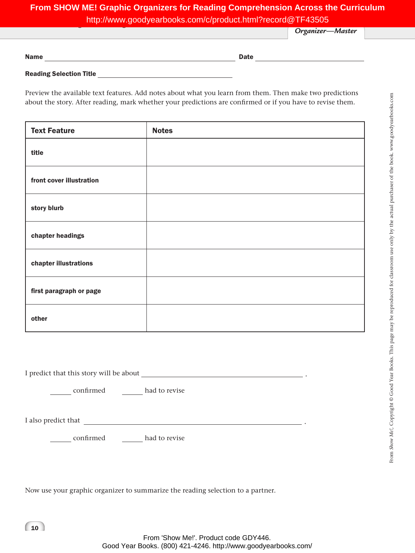# **From SHOW ME! Graphic Organizers for Reading Comprehension Across the Curriculum**

*Fiction:* Previewing and Predicting http://www.goodyearbooks.com/c/product.html?record@TF43505

| Organizer—Master |  |
|------------------|--|
|                  |  |

| <b>Name</b>                    | <b>Date</b> |  |
|--------------------------------|-------------|--|
| <b>Reading Selection Title</b> |             |  |

Preview the available text features. Add notes about what you learn from them. Then make two predictions about the story. After reading, mark whether your predictions are confirmed or if you have to revise them.

| <b>Text Feature</b>      | <b>Notes</b> |
|--------------------------|--------------|
| title                    |              |
| front cover illustration |              |
| story blurb              |              |
| chapter headings         |              |
| chapter illustrations    |              |
| first paragraph or page  |              |
| other                    |              |

I predict that this story will be about

confirmed had to revise

I also predict that

confirmed had to revise

Now use your graphic organizer to summarize the reading selection to a partner.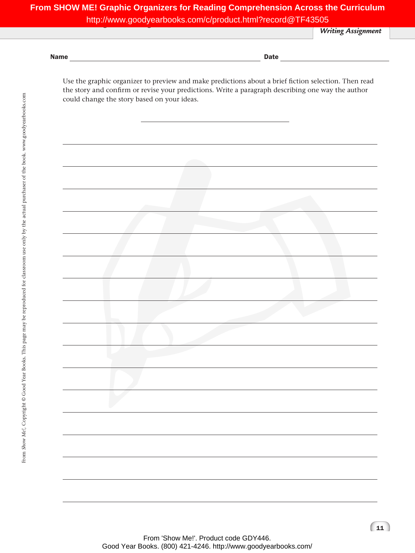### *Fiction:* Previewing and Predicting http://www.goodyearbooks.com/c/product.html?record@TF43505 **From SHOW ME! Graphic Organizers for Reading Comprehension Across the Curriculum**

*Writing Assignment*

Use the graphic organizer to preview and make predictions about a brief fiction selection. Then read the story and confirm or revise your predictions. Write a paragraph describing one way the author could change the story based on your ideas.